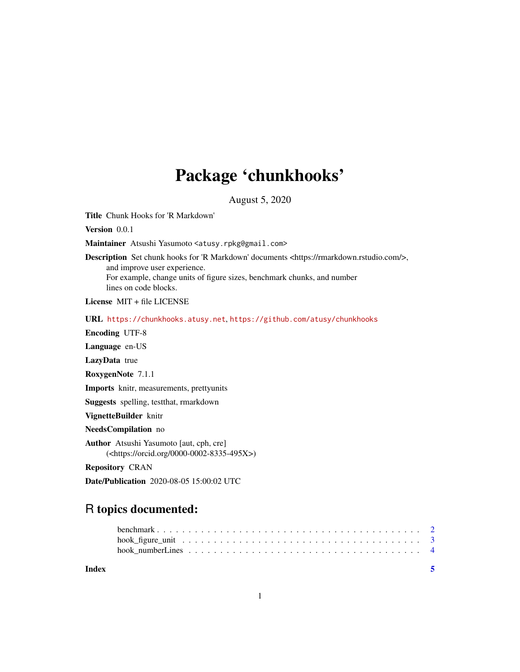## Package 'chunkhooks'

August 5, 2020

Title Chunk Hooks for 'R Markdown'

Version 0.0.1

Maintainer Atsushi Yasumoto <atusy.rpkg@gmail.com>

Description Set chunk hooks for 'R Markdown' documents <https://rmarkdown.rstudio.com/>, and improve user experience. For example, change units of figure sizes, benchmark chunks, and number lines on code blocks.

License MIT + file LICENSE

URL <https://chunkhooks.atusy.net>, <https://github.com/atusy/chunkhooks>

Encoding UTF-8

Language en-US

LazyData true

RoxygenNote 7.1.1

Imports knitr, measurements, prettyunits

Suggests spelling, testthat, rmarkdown

VignetteBuilder knitr

NeedsCompilation no

Author Atsushi Yasumoto [aut, cph, cre] (<https://orcid.org/0000-0002-8335-495X>)

Repository CRAN

Date/Publication 2020-08-05 15:00:02 UTC

### R topics documented:

**Index** [5](#page-4-0). The second state of the second state of the second state of the second state of the second state of the second state of the second state of the second state of the second state of the second state of the second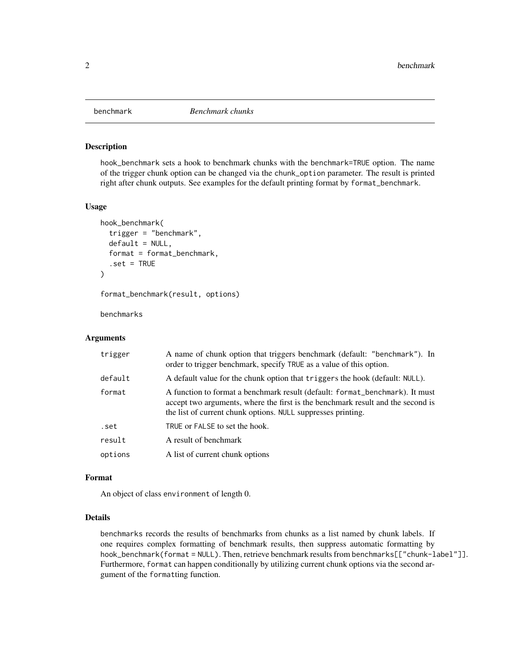<span id="page-1-0"></span>

#### Description

hook\_benchmark sets a hook to benchmark chunks with the benchmark=TRUE option. The name of the trigger chunk option can be changed via the chunk\_option parameter. The result is printed right after chunk outputs. See examples for the default printing format by format\_benchmark.

#### Usage

```
hook_benchmark(
  trigger = "benchmark",
  default = NULL,format = format_benchmark,
  .set = TRUE)
```
format\_benchmark(result, options)

benchmarks

#### **Arguments**

| trigger | A name of chunk option that triggers benchmark (default: "benchmark"). In<br>order to trigger benchmark, specify TRUE as a value of this option.                                                                                |
|---------|---------------------------------------------------------------------------------------------------------------------------------------------------------------------------------------------------------------------------------|
| default | A default value for the chunk option that triggers the hook (default: NULL).                                                                                                                                                    |
| format  | A function to format a benchmark result (default: format_benchmark). It must<br>accept two arguments, where the first is the benchmark result and the second is<br>the list of current chunk options. NULL suppresses printing. |
| .set    | TRUE or FALSE to set the hook.                                                                                                                                                                                                  |
| result  | A result of benchmark                                                                                                                                                                                                           |
| options | A list of current chunk options                                                                                                                                                                                                 |
|         |                                                                                                                                                                                                                                 |

#### Format

An object of class environment of length 0.

#### Details

benchmarks records the results of benchmarks from chunks as a list named by chunk labels. If one requires complex formatting of benchmark results, then suppress automatic formatting by hook\_benchmark(format = NULL). Then, retrieve benchmark results from benchmarks[["chunk-label"]]. Furthermore, format can happen conditionally by utilizing current chunk options via the second argument of the formatting function.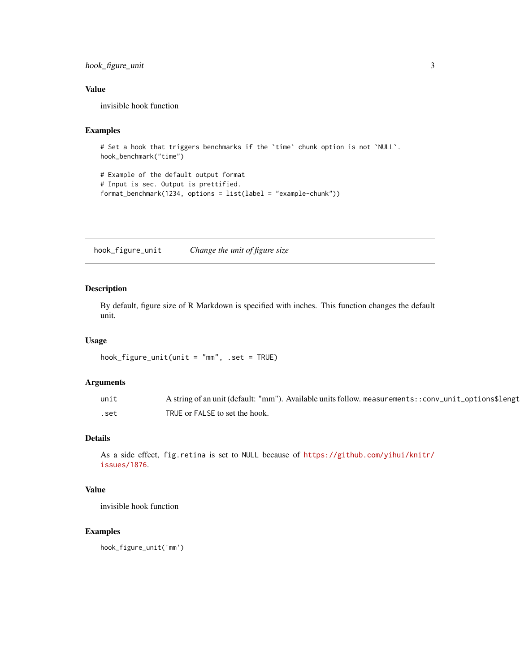#### <span id="page-2-0"></span>hook\_figure\_unit 3

#### Value

invisible hook function

#### Examples

```
# Set a hook that triggers benchmarks if the `time` chunk option is not `NULL`.
hook_benchmark("time")
```
# Example of the default output format # Input is sec. Output is prettified. format\_benchmark(1234, options = list(label = "example-chunk"))

hook\_figure\_unit *Change the unit of figure size*

#### Description

By default, figure size of R Markdown is specified with inches. This function changes the default unit.

#### Usage

```
hook_figure_unit(unit = "mm", .set = TRUE)
```
#### Arguments

| unit | A string of an unit (default: "mm"). Available units follow. measurements::conv_unit_options\$lengt |
|------|-----------------------------------------------------------------------------------------------------|
| set. | TRUE or FALSE to set the hook.                                                                      |

#### Details

As a side effect, fig.retina is set to NULL because of [https://github.com/yihui/knitr/](https://github.com/yihui/knitr/issues/1876) [issues/1876](https://github.com/yihui/knitr/issues/1876).

#### Value

invisible hook function

#### Examples

hook\_figure\_unit('mm')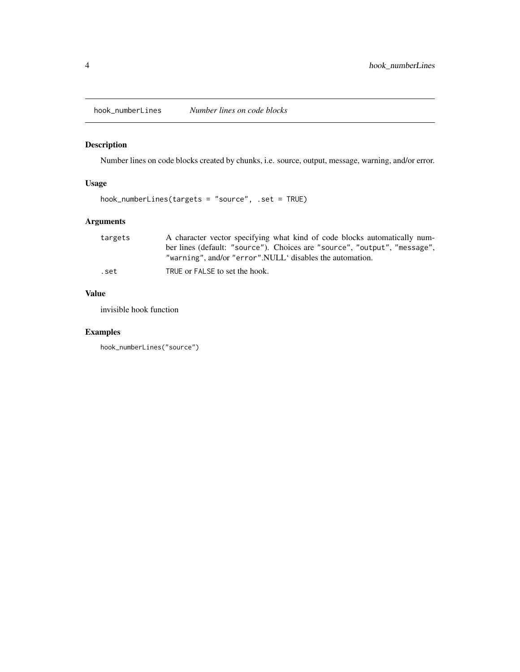<span id="page-3-0"></span>hook\_numberLines *Number lines on code blocks*

#### Description

Number lines on code blocks created by chunks, i.e. source, output, message, warning, and/or error.

#### Usage

hook\_numberLines(targets = "source", .set = TRUE)

#### Arguments

| targets | A character vector specifying what kind of code blocks automatically num- |
|---------|---------------------------------------------------------------------------|
|         | ber lines (default: "source"). Choices are "source", "output", "message". |
|         | "warning", and/or "error".NULL' disables the automation.                  |
| .set    | TRUE or FALSE to set the hook.                                            |

#### Value

invisible hook function

#### Examples

```
hook_numberLines("source")
```